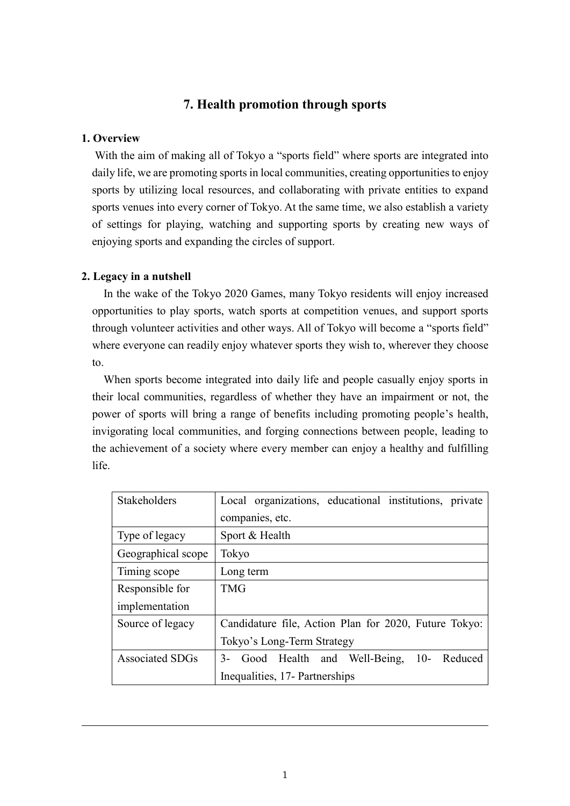# **7. Health promotion through sports**

## **1. Overview**

With the aim of making all of Tokyo a "sports field" where sports are integrated into daily life, we are promoting sports in local communities, creating opportunities to enjoy sports by utilizing local resources, and collaborating with private entities to expand sports venues into every corner of Tokyo. At the same time, we also establish a variety of settings for playing, watching and supporting sports by creating new ways of enjoying sports and expanding the circles of support.

## **2. Legacy in a nutshell**

In the wake of the Tokyo 2020 Games, many Tokyo residents will enjoy increased opportunities to play sports, watch sports at competition venues, and support sports through volunteer activities and other ways. All of Tokyo will become a "sports field" where everyone can readily enjoy whatever sports they wish to, wherever they choose to.

When sports become integrated into daily life and people casually enjoy sports in their local communities, regardless of whether they have an impairment or not, the power of sports will bring a range of benefits including promoting people's health, invigorating local communities, and forging connections between people, leading to the achievement of a society where every member can enjoy a healthy and fulfilling life.

| Stakeholders           | Local organizations, educational institutions, private |
|------------------------|--------------------------------------------------------|
|                        | companies, etc.                                        |
| Type of legacy         | Sport & Health                                         |
| Geographical scope     | Tokyo                                                  |
| Timing scope           | Long term                                              |
| Responsible for        | <b>TMG</b>                                             |
| implementation         |                                                        |
| Source of legacy       | Candidature file, Action Plan for 2020, Future Tokyo:  |
|                        | Tokyo's Long-Term Strategy                             |
| <b>Associated SDGs</b> | Good Health and Well-Being,<br>$10-$<br>Reduced<br>3-  |
|                        | Inequalities, 17- Partnerships                         |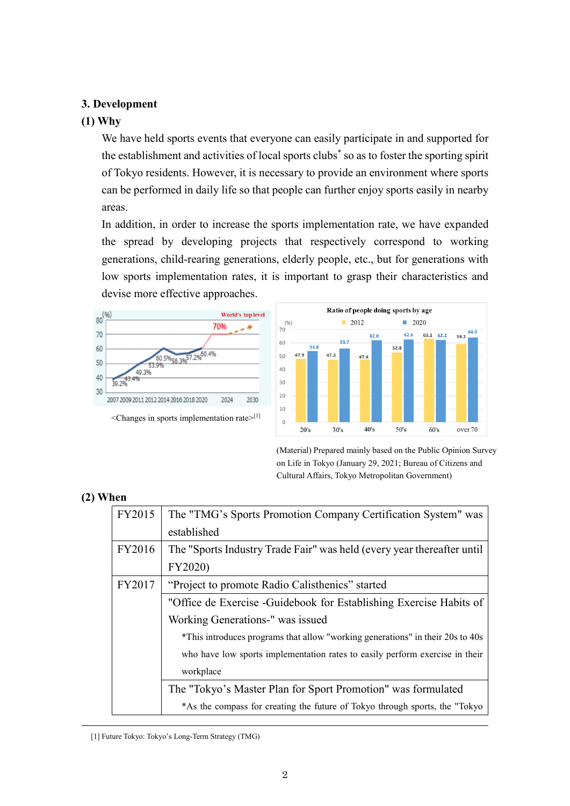# **3. Development**

## **(1) Why**

We have held sports events that everyone can easily participate in and supported for the establishment and activities of local sports clubs\* so as to foster the sporting spirit of Tokyo residents. However, it is necessary to provide an environment where sports can be performed in daily life so that people can further enjoy sports easily in nearby areas.

In addition, in order to increase the sports implementation rate, we have expanded the spread by developing projects that respectively correspond to working generations, child-rearing generations, elderly people, etc., but for generations with low sports implementation rates, it is important to grasp their characteristics and devise more effective approaches.





(Material) Prepared mainly based on the Public Opinion Survey on Life in Tokyo (January 29, 2021; Bureau of Citizens and Cultural Affairs, Tokyo Metropolitan Government)

## **(2) When**

| FY2015 | The "TMG's Sports Promotion Company Certification System" was                  |
|--------|--------------------------------------------------------------------------------|
|        | established                                                                    |
| FY2016 | The "Sports Industry Trade Fair" was held (every year thereafter until         |
|        | FY2020)                                                                        |
| FY2017 | "Project to promote Radio Calisthenics" started                                |
|        | "Office de Exercise - Guidebook for Establishing Exercise Habits of            |
|        | Working Generations-" was issued                                               |
|        | *This introduces programs that allow "working generations" in their 20s to 40s |
|        | who have low sports implementation rates to easily perform exercise in their   |
|        | workplace                                                                      |
|        | The "Tokyo's Master Plan for Sport Promotion" was formulated                   |
|        | *As the compass for creating the future of Tokyo through sports, the "Tokyo"   |

[1] Future Tokyo: Tokyo's Long-Term Strategy (TMG)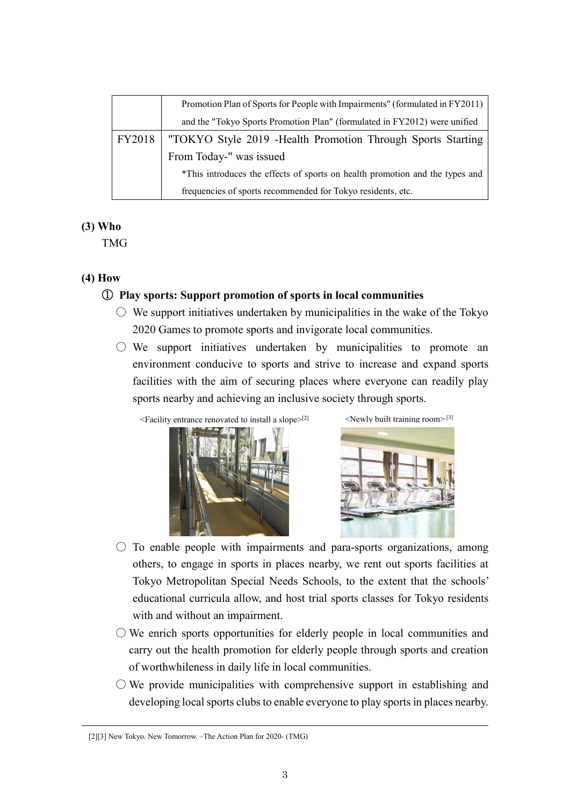|        | Promotion Plan of Sports for People with Impairments" (formulated in FY2011) |
|--------|------------------------------------------------------------------------------|
|        | and the "Tokyo Sports Promotion Plan" (formulated in FY2012) were unified    |
| FY2018 | "TOKYO Style 2019 - Health Promotion Through Sports Starting                 |
|        | From Today-" was issued                                                      |
|        | *This introduces the effects of sports on health promotion and the types and |
|        | frequencies of sports recommended for Tokyo residents, etc.                  |

## **(3) Who**

TMG

## **(4) How**

# ① **Play sports: Support promotion of sports in local communities**

- $\circ$  We support initiatives undertaken by municipalities in the wake of the Tokyo 2020 Games to promote sports and invigorate local communities.
- $\circ$  We support initiatives undertaken by municipalities to promote an environment conducive to sports and strive to increase and expand sports facilities with the aim of securing places where everyone can readily play sports nearby and achieving an inclusive society through sports.

 $\leq$  Facility entrance renovated to install a slope $\geq$ <sup>[2]</sup>





- $\circ$  To enable people with impairments and para-sports organizations, among others, to engage in sports in places nearby, we rent out sports facilities at Tokyo Metropolitan Special Needs Schools, to the extent that the schools' educational curricula allow, and host trial sports classes for Tokyo residents with and without an impairment.
- $\bigcirc$  We enrich sports opportunities for elderly people in local communities and carry out the health promotion for elderly people through sports and creation of worthwhileness in daily life in local communities.
- $\circlearrowright$  We provide municipalities with comprehensive support in establishing and developing local sports clubs to enable everyone to play sports in places nearby.

<sup>[2][3]</sup> New Tokyo. New Tomorrow. –The Action Plan for 2020- (TMG)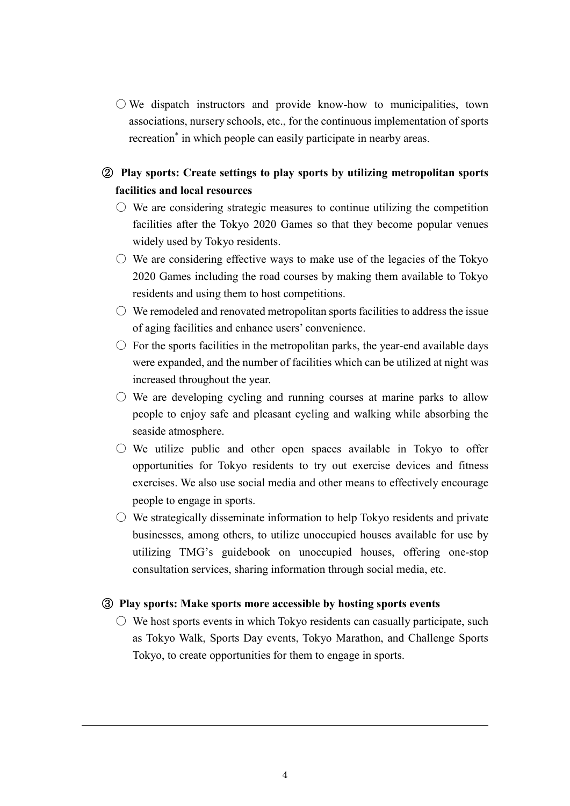$\bigcirc$  We dispatch instructors and provide know-how to municipalities, town associations, nursery schools, etc., for the continuous implementation of sports recreation<sup>\*</sup> in which people can easily participate in nearby areas.

# ② **Play sports: Create settings to play sports by utilizing metropolitan sports facilities and local resources**

- $\circ$  We are considering strategic measures to continue utilizing the competition facilities after the Tokyo 2020 Games so that they become popular venues widely used by Tokyo residents.
- $\circlearrowright$  We are considering effective ways to make use of the legacies of the Tokyo 2020 Games including the road courses by making them available to Tokyo residents and using them to host competitions.
- $\circlearrowright$  We remodeled and renovated metropolitan sports facilities to address the issue of aging facilities and enhance users' convenience.
- $\circ$  For the sports facilities in the metropolitan parks, the year-end available days were expanded, and the number of facilities which can be utilized at night was increased throughout the year.
- $\circlearrowright$  We are developing cycling and running courses at marine parks to allow people to enjoy safe and pleasant cycling and walking while absorbing the seaside atmosphere.
- $\circ$  We utilize public and other open spaces available in Tokyo to offer opportunities for Tokyo residents to try out exercise devices and fitness exercises. We also use social media and other means to effectively encourage people to engage in sports.
- $\circ$  We strategically disseminate information to help Tokyo residents and private businesses, among others, to utilize unoccupied houses available for use by utilizing TMG's guidebook on unoccupied houses, offering one-stop consultation services, sharing information through social media, etc.

## ③ **Play sports: Make sports more accessible by hosting sports events**

 $\circ$  We host sports events in which Tokyo residents can casually participate, such as Tokyo Walk, Sports Day events, Tokyo Marathon, and Challenge Sports Tokyo, to create opportunities for them to engage in sports.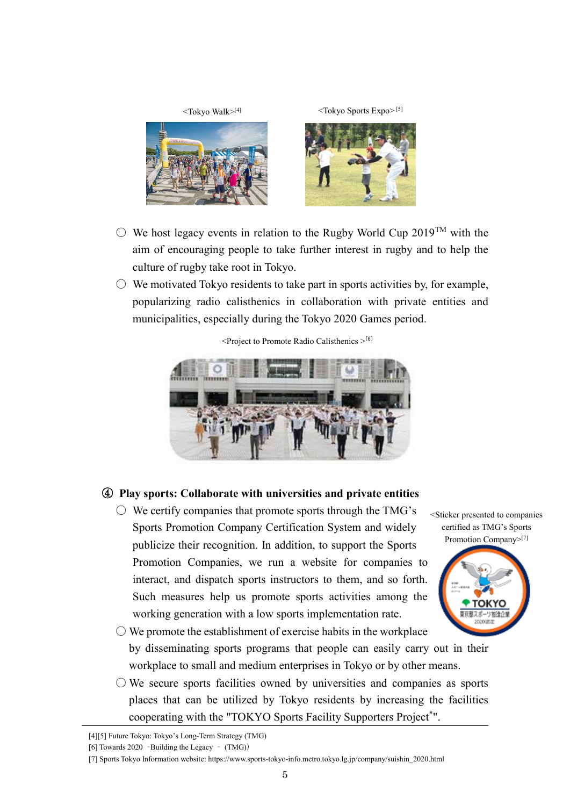

- $\circ$  We host legacy events in relation to the Rugby World Cup 2019<sup>TM</sup> with the aim of encouraging people to take further interest in rugby and to help the culture of rugby take root in Tokyo.
- $\circ$  We motivated Tokyo residents to take part in sports activities by, for example, popularizing radio calisthenics in collaboration with private entities and municipalities, especially during the Tokyo 2020 Games period.



 $\leq$ Project to Promote Radio Calisthenics  $>^{[6]}$ 

# ④ **Play sports: Collaborate with universities and private entities**

 $\circlearrowright$  We certify companies that promote sports through the TMG's Sports Promotion Company Certification System and widely publicize their recognition. In addition, to support the Sports Promotion Companies, we run a website for companies to interact, and dispatch sports instructors to them, and so forth. Such measures help us promote sports activities among the working generation with a low sports implementation rate.

<Sticker presented to companies certified as TMG's Sports Promotion Company>[7]



 $\bigcirc$  We promote the establishment of exercise habits in the workplace by disseminating sports programs that people can easily carry out in their workplace to small and medium enterprises in Tokyo or by other means.

 $\bigcirc$  We secure sports facilities owned by universities and companies as sports places that can be utilized by Tokyo residents by increasing the facilities cooperating with the "TOKYO Sports Facility Supporters Project\*".

<sup>[4][5]</sup> Future Tokyo: Tokyo's Long-Term Strategy (TMG)

<sup>[6]</sup> Towards 2020 –Building the Legacy – (TMG))

<sup>[7]</sup> Sports Tokyo Information website: https://www.sports-tokyo-info.metro.tokyo.lg.jp/company/suishin\_2020.html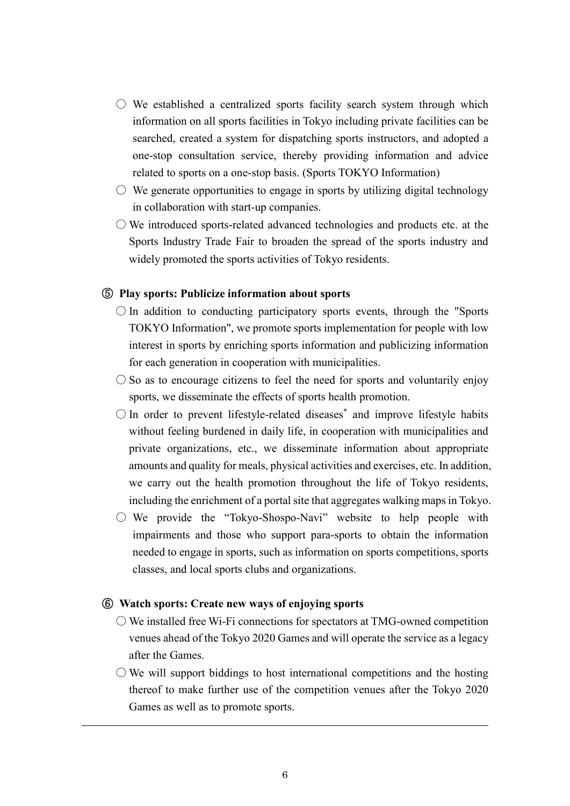- $\circlearrowright$  We established a centralized sports facility search system through which information on all sports facilities in Tokyo including private facilities can be searched, created a system for dispatching sports instructors, and adopted a one-stop consultation service, thereby providing information and advice related to sports on a one-stop basis. (Sports TOKYO Information)
- $\circlearrowright$  We generate opportunities to engage in sports by utilizing digital technology in collaboration with start-up companies.
- We introduced sports-related advanced technologies and products etc. at the Sports Industry Trade Fair to broaden the spread of the sports industry and widely promoted the sports activities of Tokyo residents.

#### ⑤ **Play sports: Publicize information about sports**

- $\bigcirc$  In addition to conducting participatory sports events, through the "Sports" TOKYO Information", we promote sports implementation for people with low interest in sports by enriching sports information and publicizing information for each generation in cooperation with municipalities.
- $\circ$  So as to encourage citizens to feel the need for sports and voluntarily enjoy sports, we disseminate the effects of sports health promotion.
- In order to prevent lifestyle-related diseases\* and improve lifestyle habits without feeling burdened in daily life, in cooperation with municipalities and private organizations, etc., we disseminate information about appropriate amounts and quality for meals, physical activities and exercises, etc. In addition, we carry out the health promotion throughout the life of Tokyo residents, including the enrichment of a portal site that aggregates walking maps in Tokyo.
- $\circ$  We provide the "Tokyo-Shospo-Navi" website to help people with impairments and those who support para-sports to obtain the information needed to engage in sports, such as information on sports competitions, sports classes, and local sports clubs and organizations.

## ⑥ **Watch sports: Create new ways of enjoying sports**

- $\bigcirc$  We installed free Wi-Fi connections for spectators at TMG-owned competition venues ahead of the Tokyo 2020 Games and will operate the service as a legacy after the Games.
- $\circlearrowright$  We will support biddings to host international competitions and the hosting thereof to make further use of the competition venues after the Tokyo 2020 Games as well as to promote sports.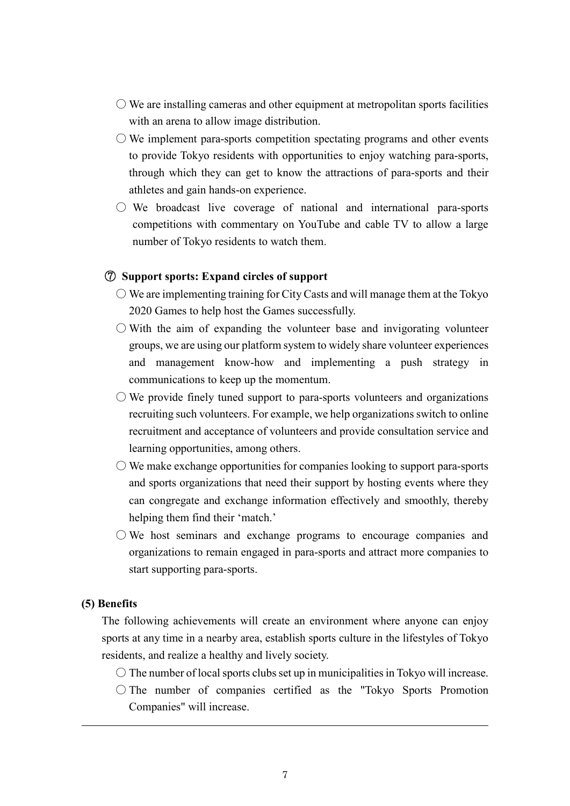- $\bigcirc$  We are installing cameras and other equipment at metropolitan sports facilities with an arena to allow image distribution.
- $\bigcirc$  We implement para-sports competition spectating programs and other events to provide Tokyo residents with opportunities to enjoy watching para-sports, through which they can get to know the attractions of para-sports and their athletes and gain hands-on experience.
- We broadcast live coverage of national and international para-sports competitions with commentary on YouTube and cable TV to allow a large number of Tokyo residents to watch them.

#### ⑦ **Support sports: Expand circles of support**

- $\bigcirc$  We are implementing training for City Casts and will manage them at the Tokyo 2020 Games to help host the Games successfully.
- $\bigcirc$  With the aim of expanding the volunteer base and invigorating volunteer groups, we are using our platform system to widely share volunteer experiences and management know-how and implementing a push strategy in communications to keep up the momentum.
- $\circlearrowright$  We provide finely tuned support to para-sports volunteers and organizations recruiting such volunteers. For example, we help organizations switch to online recruitment and acceptance of volunteers and provide consultation service and learning opportunities, among others.
- $\bigcirc$  We make exchange opportunities for companies looking to support para-sports and sports organizations that need their support by hosting events where they can congregate and exchange information effectively and smoothly, thereby helping them find their 'match.'
- $\circlearrowright$  We host seminars and exchange programs to encourage companies and organizations to remain engaged in para-sports and attract more companies to start supporting para-sports.

#### **(5) Benefits**

The following achievements will create an environment where anyone can enjoy sports at any time in a nearby area, establish sports culture in the lifestyles of Tokyo residents, and realize a healthy and lively society.

- $\circ$  The number of local sports clubs set up in municipalities in Tokyo will increase.
- $\bigcirc$  The number of companies certified as the "Tokyo Sports Promotion Companies" will increase.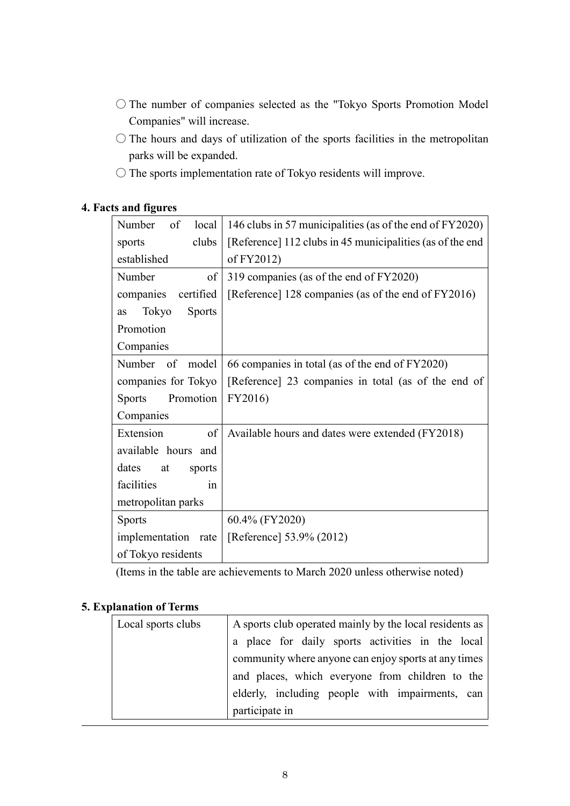- The number of companies selected as the "Tokyo Sports Promotion Model Companies" will increase.
- $\bigcirc$  The hours and days of utilization of the sports facilities in the metropolitan parks will be expanded.
- The sports implementation rate of Tokyo residents will improve.

# **4. Facts and figures**

| Number<br>of<br>local        | 146 clubs in 57 municipalities (as of the end of FY2020)  |
|------------------------------|-----------------------------------------------------------|
| clubs<br>sports              | [Reference] 112 clubs in 45 municipalities (as of the end |
| established                  | of FY2012)                                                |
| Number<br>of                 | 319 companies (as of the end of FY2020)                   |
| certified<br>companies       | [Reference] 128 companies (as of the end of FY2016)       |
| Tokyo<br><b>Sports</b><br>as |                                                           |
| Promotion                    |                                                           |
| Companies                    |                                                           |
| Number of<br>model           | 66 companies in total (as of the end of FY2020)           |
| companies for Tokyo          | [Reference] 23 companies in total (as of the end of       |
| Promotion<br><b>Sports</b>   | FY2016)                                                   |
| Companies                    |                                                           |
| Extension<br>of              | Available hours and dates were extended (FY2018)          |
| available hours and          |                                                           |
| dates<br>at<br>sports        |                                                           |
| facilities<br>1n             |                                                           |
| metropolitan parks           |                                                           |
| <b>Sports</b>                | 60.4% (FY2020)                                            |
| implementation rate          | [Reference] 53.9% (2012)                                  |
| of Tokyo residents           |                                                           |

(Items in the table are achievements to March 2020 unless otherwise noted)

## **5. Explanation of Terms**

| Local sports clubs | A sports club operated mainly by the local residents as |
|--------------------|---------------------------------------------------------|
|                    | a place for daily sports activities in the local        |
|                    | community where anyone can enjoy sports at any times    |
|                    | and places, which everyone from children to the         |
|                    | elderly, including people with impairments, can         |
|                    | participate in                                          |